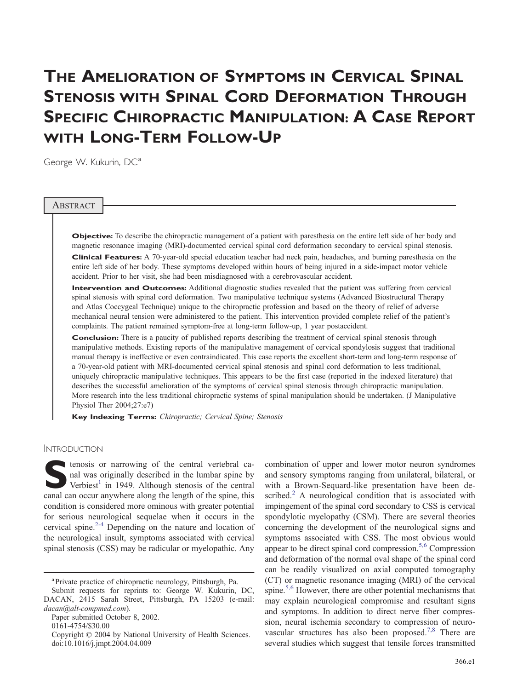# THE AMELIORATION OF SYMPTOMS IN CERVICAL SPINAL STENOSIS WITH SPINAL CORD DEFORMATION THROUGH SPECIFIC CHIROPRACTIC MANIPULATION: A CASE REPORT WITH LONG-TERM FOLLOW-UP

George W. Kukurin, DC<sup>a</sup>

#### **ABSTRACT**

Objective: To describe the chiropractic management of a patient with paresthesia on the entire left side of her body and magnetic resonance imaging (MRI)-documented cervical spinal cord deformation secondary to cervical spinal stenosis.

Clinical Features: A 70-year-old special education teacher had neck pain, headaches, and burning paresthesia on the entire left side of her body. These symptoms developed within hours of being injured in a side-impact motor vehicle accident. Prior to her visit, she had been misdiagnosed with a cerebrovascular accident.

Intervention and Outcomes: Additional diagnostic studies revealed that the patient was suffering from cervical spinal stenosis with spinal cord deformation. Two manipulative technique systems (Advanced Biostructural Therapy and Atlas Coccygeal Technique) unique to the chiropractic profession and based on the theory of relief of adverse mechanical neural tension were administered to the patient. This intervention provided complete relief of the patient's complaints. The patient remained symptom-free at long-term follow-up, 1 year postaccident.

**Conclusion:** There is a paucity of published reports describing the treatment of cervical spinal stenosis through manipulative methods. Existing reports of the manipulative management of cervical spondylosis suggest that traditional manual therapy is ineffective or even contraindicated. This case reports the excellent short-term and long-term response of a 70-year-old patient with MRI-documented cervical spinal stenosis and spinal cord deformation to less traditional, uniquely chiropractic manipulative techniques. This appears to be the first case (reported in the indexed literature) that describes the successful amelioration of the symptoms of cervical spinal stenosis through chiropractic manipulation. More research into the less traditional chiropractic systems of spinal manipulation should be undertaken. (J Manipulative Physiol Ther 2004;27:e7)

Key Indexing Terms: Chiropractic; Cervical Spine; Stenosis

#### **INTRODUCTION**

tenosis or narrowing of the central vertebral ca-<br>nal was originally described in the lumbar spine by<br>Verbiest<sup>1</sup> in 1949. Although stenosis of the central<br>canal can occur anywhere along the length of the spine, this nal wa[s o](#page-5-0)riginally described in the lumbar spine by Verbiest<sup>1</sup> in 1949. Although stenosis of the central canal can occur anywhere along the length of the spine, this condition is considered more ominous with greater potential for serious n[eur](#page-5-0)ological sequelae when it occurs in the cervical spine. $2-4$  Depending on the nature and location of the neurological insult, symptoms associated with cervical spinal stenosis (CSS) may be radicular or myelopathic. Any combination of upper and lower motor neuron syndromes and sensory symptoms ranging from unilateral, bilateral, or with a B[ro](#page-5-0)wn-Sequard-like presentation have been described. $2$  A neurological condition that is associated with impingement of the spinal cord secondary to CSS is cervical spondylotic myelopathy (CSM). There are several theories concerning the development of the neurological signs and symptoms associated with CSS. The most o[bvi](#page-5-0)ous would appear to be direct spinal cord compression.<sup>5,6</sup> Compression and deformation of the normal oval shape of the spinal cord can be readily visualized on axial computed tomography (CT) or [ma](#page-5-0)gnetic resonance imaging (MRI) of the cervical spine.<sup>5,6</sup> However, there are other potential mechanisms that may explain neurological compromise and resultant signs and symptoms. In addition to direct nerve fiber compression, neural ischemia secondary to compressio[n of](#page-5-0) neurovascular structures has also been proposed.<sup>7,8</sup> There are several studies which suggest that tensile forces transmitted

<sup>&</sup>lt;sup>a</sup> Private practice of chiropractic neurology, Pittsburgh, Pa.

Submit requests for reprints to: George W. Kukurin, DC, DACAN, 2415 Sarah Street, Pittsburgh, PA 15203 (e-mail: dacan@alt-compmed.com).

Paper submitted October 8, 2002.

<sup>0161-4754/\$30.00</sup>

Copyright  $\odot$  2004 by National University of Health Sciences. doi:10.1016/j.jmpt.2004.04.009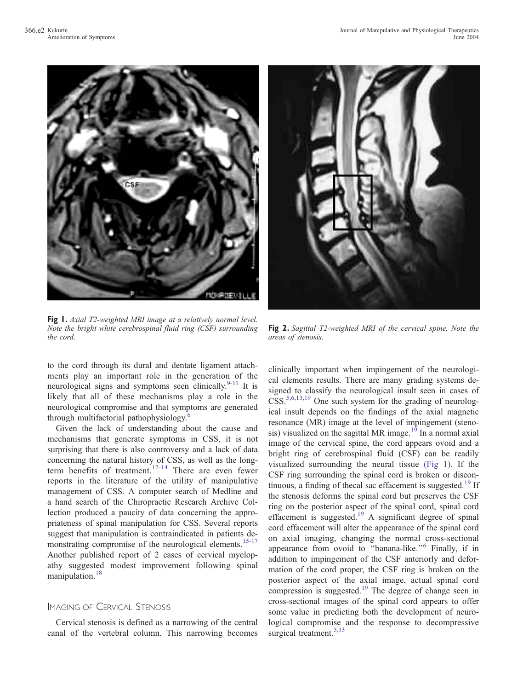<span id="page-1-0"></span>

Fig 1. Axial T2-weighted MRI image at a relatively normal level. Note the bright white cerebrospinal fluid ring (CSF) surrounding the cord.



Fig 2. Sagittal T2-weighted MRI of the cervical spine. Note the areas of stenosis.

to the cord through its dural and dentate ligament attachments play an important role in the generat[ion](#page-5-0) of the neurological signs and symptoms seen clinically.<sup>9-11</sup> It is likely that all of these mechanisms play a role in the neurological compromise and that sy[m](#page-5-0)ptoms are generated through multifactorial pathophysiology.<sup>6</sup>

Given the lack of understanding about the cause and mechanisms that generate symptoms in CSS, it is not surprising that there is also controversy and a lack of data concerning the natural hist[ory o](#page-5-0)f CSS, as well as the longterm benefits of treatment.<sup>12-14</sup> There are even fewer reports in the literature of the utility of manipulative management of CSS. A computer search of Medline and a hand search of the Chiropractic Research Archive Collection produced a paucity of data concerning the appropriateness of spinal manipulation for CSS. Several reports [suggest that manipulation is contraindicated in patien](#page-5-0)ts demonstrating compromise of the neurological elements.<sup>15-17</sup> Another published report of 2 cases of cervical myelopathy sugg[est](#page-5-0)ed modest improvement following spinal manipulation.<sup>18</sup>

## IMAGING OF CERVICAL STENOSIS

Cervical stenosis is defined as a narrowing of the central canal of the vertebral column. This narrowing becomes clinically important when impingement of the neurological elements results. There are many grading systems designe[d to cla](#page-5-0)ssify the neurological insult seen in cases of  $CSS^{5,6,13,19}$  One such system for the grading of neurological insult depends on the findings of the axial magnetic resonance (MR) image at the level of i[mpi](#page-5-0)ngement (stenosis) visualized on the sagittal MR image.<sup>19</sup> In a normal axial image of the cervical spine, the cord appears ovoid and a bright ring of cerebrospinal fluid (CSF) can be readily visualized surrounding the neural tissue (Fig 1). If the CSF ring surrounding the spinal cord is broken or disc[on](#page-5-0)tinuous, a finding of the cal sac effacement is suggested.<sup>19</sup> If the stenosis deforms the spinal cord but preserves the CSF ring on the posterior aspe[ct](#page-5-0) of the spinal cord, spinal cord effacement is suggested.<sup>19</sup> A significant degree of spinal cord effacement will alter the appearance of the spinal cord on axial imaging, changing the normal [cr](#page-5-0)oss-sectional appearance from ovoid to "banana-like."<sup>6</sup> Finally, if in addition to impingement of the CSF anteriorly and deformation of the cord proper, the CSF ring is broken on the posterior aspect of the a[xia](#page-5-0)l image, actual spinal cord compression is suggested.<sup>19</sup> The degree of change seen in cross-sectional images of the spinal cord appears to offer some value in predicting both the development of neurological compromi[se a](#page-5-0)nd the response to decompressive surgical treatment.<sup>5,13</sup>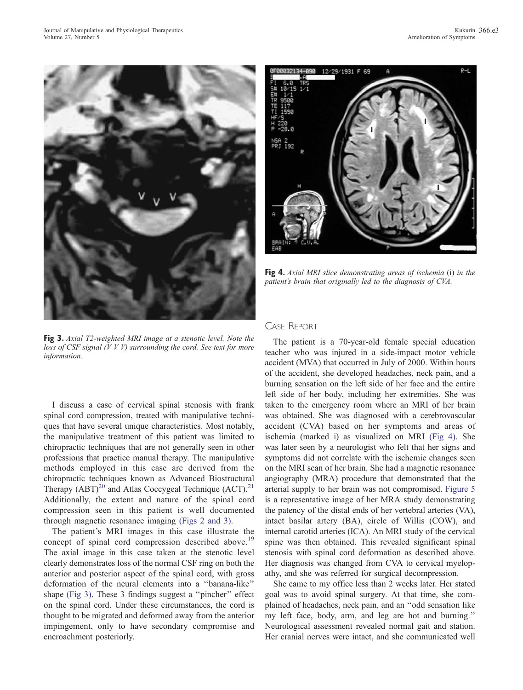

29/1931 F

Fig 4. Axial MRI slice demonstrating areas of ischemia (i) in the patient's brain that originally led to the diagnosis of CVA.

Fig 3. Axial T2-weighted MRI image at a stenotic level. Note the loss of CSF signal (V V V) surrounding the cord. See text for more information.

I discuss a case of cervical spinal stenosis with frank spinal cord compression, treated with manipulative techniques that have several unique characteristics. Most notably, the manipulative treatment of this patient was limited to chiropractic techniques that are not generally seen in other professions that practice manual therapy. The manipulative methods employed in this case are derived from the [chiropractic techniques known as Advanced Biostructur](#page-5-0)al Therapy  $(ABT)^{20}$  and Atlas Coccygeal Technique  $(ACT).^{21}$ Additionally, the extent and nature of the spinal cord compression seen in this patient [is well docum](#page-1-0)ented through magnetic resonance imaging (Figs 2 and 3).

[The patient's MRI images in this case illustrate th](#page-5-0)e concept of spinal cord compression described above.<sup>19</sup> The axial image in this case taken at the stenotic level clearly demonstrates loss of the normal CSF ring on both the anterior and posterior aspect of the spinal cord, with gross deformation of the neural elements into a ''banana-like'' shape (Fig 3). These 3 findings suggest a ''pincher'' effect on the spinal cord. Under these circumstances, the cord is thought to be migrated and deformed away from the anterior impingement, only to have secondary compromise and encroachment posteriorly.

#### CASE REPORT

The patient is a 70-year-old female special education teacher who was injured in a side-impact motor vehicle accident (MVA) that occurred in July of 2000. Within hours of the accident, she developed headaches, neck pain, and a burning sensation on the left side of her face and the entire left side of her body, including her extremities. She was taken to the emergency room where an MRI of her brain was obtained. She was diagnosed with a cerebrovascular accident (CVA) based on her symptoms and areas of ischemia (marked i) as visualized on MRI (Fig 4). She was later seen by a neurologist who felt that her signs and symptoms did not correlate with the ischemic changes seen on the MRI scan of her brain. She had a magnetic resonance angiography (MRA) procedure that demonstrated th[at the](#page-3-0) arterial supply to her brain was not compromised. Figure 5 is a representative image of her MRA study demonstrating the patency of the distal ends of her vertebral arteries (VA), intact basilar artery (BA), circle of Willis (COW), and internal carotid arteries (ICA). An MRI study of the cervical spine was then obtained. This revealed significant spinal stenosis with spinal cord deformation as described above. Her diagnosis was changed from CVA to cervical myelopathy, and she was referred for surgical decompression.

She came to my office less than 2 weeks later. Her stated goal was to avoid spinal surgery. At that time, she complained of headaches, neck pain, and an ''odd sensation like my left face, body, arm, and leg are hot and burning.'' Neurological assessment revealed normal gait and station. Her cranial nerves were intact, and she communicated well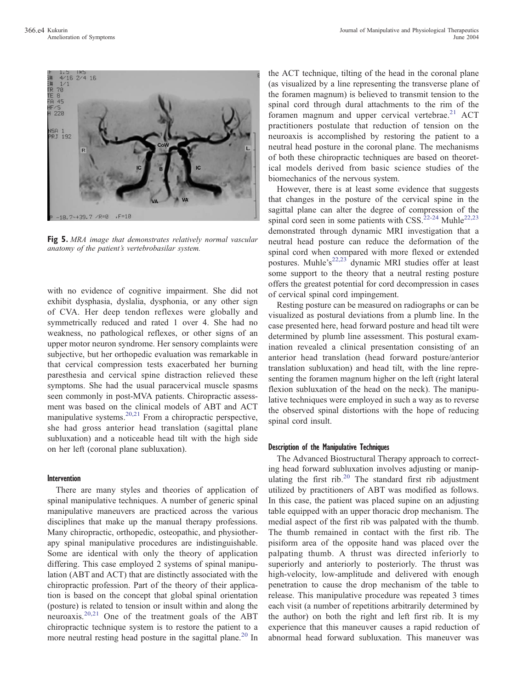<span id="page-3-0"></span>

Fig 5. MRA image that demonstrates relatively normal vascular anatomy of the patient's vertebrobasilar system.

with no evidence of cognitive impairment. She did not exhibit dysphasia, dyslalia, dysphonia, or any other sign of CVA. Her deep tendon reflexes were globally and symmetrically reduced and rated 1 over 4. She had no weakness, no pathological reflexes, or other signs of an upper motor neuron syndrome. Her sensory complaints were subjective, but her orthopedic evaluation was remarkable in that cervical compression tests exacerbated her burning paresthesia and cervical spine distraction relieved these symptoms. She had the usual paracervical muscle spasms seen commonly in post-MVA patients. Chiropractic assessment was based o[n the](#page-5-0) clinical models of ABT and ACT manipulative systems. $20,21$  From a chiropractic perspective, she had gross anterior head translation (sagittal plane subluxation) and a noticeable head tilt with the high side on her left (coronal plane subluxation).

#### Intervention

There are many styles and theories of application of spinal manipulative techniques. A number of generic spinal manipulative maneuvers are practiced across the various disciplines that make up the manual therapy professions. Many chiropractic, orthopedic, osteopathic, and physiotherapy spinal manipulative procedures are indistinguishable. Some are identical with only the theory of application differing. This case employed 2 systems of spinal manipulation (ABT and ACT) that are distinctly associated with the chiropractic profession. Part of the theory of their application is based on the concept that global spinal orientation (postur[e\) is r](#page-5-0)elated to tension or insult within and along the neuroaxis.20,21 One of the treatment goals of the ABT chiropractic technique system is to restore the pati[ent](#page-5-0) to a more neutral resting head posture in the sagittal plane.<sup>20</sup> In

the ACT technique, tilting of the head in the coronal plane (as visualized by a line representing the transverse plane of the foramen magnum) is believed to transmit tension to the spinal cord through dural attachments to the rim [o](#page-5-0)f the foramen magnum and upper cervical vertebrae.<sup>21</sup> ACT practitioners postulate that reduction of tension on the neuroaxis is accomplished by restoring the patient to a neutral head posture in the coronal plane. The mechanisms of both these chiropractic techniques are based on theoretical models derived from basic science studies of the biomechanics of the nervous system.

However, there is at least some evidence that suggests that changes in the posture of the cervical spine in the [sagittal plane can alter the degree of compression of](#page-5-0) the spinal cord seen in some patients with  $CSS.^{22-24}$  Muhle<sup>22,23</sup> demonstrated through dynamic MRI investigation that a neutral head posture can reduce the deformation of the spinal cord when [comp](#page-5-0)ared with more flexed or extended postures. Muhle's<sup>22,23</sup> dynamic MRI studies offer at least some support to the theory that a neutral resting posture offers the greatest potential for cord decompression in cases of cervical spinal cord impingement.

Resting posture can be measured on radiographs or can be visualized as postural deviations from a plumb line. In the case presented here, head forward posture and head tilt were determined by plumb line assessment. This postural examination revealed a clinical presentation consisting of an anterior head translation (head forward posture/anterior translation subluxation) and head tilt, with the line representing the foramen magnum higher on the left (right lateral flexion subluxation of the head on the neck). The manipulative techniques were employed in such a way as to reverse the observed spinal distortions with the hope of reducing spinal cord insult.

#### Description of the Manipulative Techniques

The Advanced Biostructural Therapy approach to correcting head forward sub[lux](#page-5-0)ation involves adjusting or manipulating the first rib.<sup>20</sup> The standard first rib adjustment utilized by practitioners of ABT was modified as follows. In this case, the patient was placed supine on an adjusting table equipped with an upper thoracic drop mechanism. The medial aspect of the first rib was palpated with the thumb. The thumb remained in contact with the first rib. The pisiform area of the opposite hand was placed over the palpating thumb. A thrust was directed inferiorly to superiorly and anteriorly to posteriorly. The thrust was high-velocity, low-amplitude and delivered with enough penetration to cause the drop mechanism of the table to release. This manipulative procedure was repeated 3 times each visit (a number of repetitions arbitrarily determined by the author) on both the right and left first rib. It is my experience that this maneuver causes a rapid reduction of abnormal head forward subluxation. This maneuver was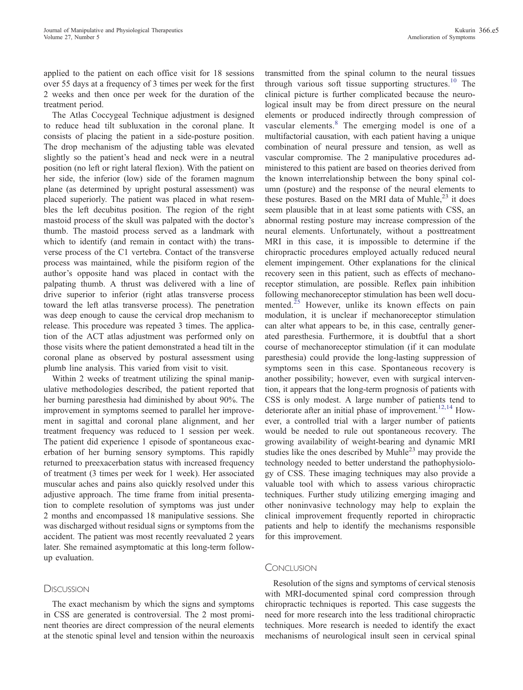applied to the patient on each office visit for 18 sessions over 55 days at a frequency of 3 times per week for the first 2 weeks and then once per week for the duration of the treatment period.

The Atlas Coccygeal Technique adjustment is designed to reduce head tilt subluxation in the coronal plane. It consists of placing the patient in a side-posture position. The drop mechanism of the adjusting table was elevated slightly so the patient's head and neck were in a neutral position (no left or right lateral flexion). With the patient on her side, the inferior (low) side of the foramen magnum plane (as determined by upright postural assessment) was placed superiorly. The patient was placed in what resembles the left decubitus position. The region of the right mastoid process of the skull was palpated with the doctor's thumb. The mastoid process served as a landmark with which to identify (and remain in contact with) the transverse process of the C1 vertebra. Contact of the transverse process was maintained, while the pisiform region of the author's opposite hand was placed in contact with the palpating thumb. A thrust was delivered with a line of drive superior to inferior (right atlas transverse process toward the left atlas transverse process). The penetration was deep enough to cause the cervical drop mechanism to release. This procedure was repeated 3 times. The application of the ACT atlas adjustment was performed only on those visits where the patient demonstrated a head tilt in the coronal plane as observed by postural assessment using plumb line analysis. This varied from visit to visit.

Within 2 weeks of treatment utilizing the spinal manipulative methodologies described, the patient reported that her burning paresthesia had diminished by about 90%. The improvement in symptoms seemed to parallel her improvement in sagittal and coronal plane alignment, and her treatment frequency was reduced to 1 session per week. The patient did experience 1 episode of spontaneous exacerbation of her burning sensory symptoms. This rapidly returned to preexacerbation status with increased frequency of treatment (3 times per week for 1 week). Her associated muscular aches and pains also quickly resolved under this adjustive approach. The time frame from initial presentation to complete resolution of symptoms was just under 2 months and encompassed 18 manipulative sessions. She was discharged without residual signs or symptoms from the accident. The patient was most recently reevaluated 2 years later. She remained asymptomatic at this long-term followup evaluation.

# **DISCUSSION**

The exact mechanism by which the signs and symptoms in CSS are generated is controversial. The 2 most prominent theories are direct compression of the neural elements at the stenotic spinal level and tension within the neuroaxis transmitted from the spinal column to the neural tis[su](#page-5-0)es through various soft tissue supporting structures.<sup>10</sup> The clinical picture is further complicated because the neurological insult may be from direct pressure on the neural elements or produced indirectly through compression of vascular elements.<sup>8</sup> The emerging model is one of a multifactorial causation, with each patient having a unique combination of neural pressure and tension, as well as vascular compromise. The 2 manipulative procedures administered to this patient are based on theories derived from the known interrelationship between the bony spinal column (posture) and the response of the neural elements to these postures. Based on the MRI data of Muhle, $^{23}$  it does seem plausible that in at least some patients with CSS, an abnormal resting posture may increase compression of the neural elements. Unfortunately, without a posttreatment MRI in this case, it is impossible to determine if the chiropractic procedures employed actually reduced neural element impingement. Other explanations for the clinical recovery seen in this patient, such as effects of mechanoreceptor stimulation, are possible. Reflex pain inhibition following [me](#page-5-0)chanoreceptor stimulation has been well documented.<sup>25</sup> However, unlike its known effects on pain modulation, it is unclear if mechanoreceptor stimulation can alter what appears to be, in this case, centrally generated paresthesia. Furthermore, it is doubtful that a short course of mechanoreceptor stimulation (if it can modulate paresthesia) could provide the long-lasting suppression of symptoms seen in this case. Spontaneous recovery is another possibility; however, even with surgical intervention, it appears that the long-term prognosis of patients with CSS is only modest. A large number of patients [tend](#page-5-0) to deteriorate after an initial phase of improvement.<sup>12,14</sup> However, a controlled trial with a larger number of patients would be needed to rule out spontaneous recovery. The growing availability of weight-bearing and dynamic MRI studies like the ones described by Muhle<sup>23</sup> may provide the technology needed to better understand the pathophysiology of CSS. These imaging techniques may also provide a valuable tool with which to assess various chiropractic techniques. Further study utilizing emerging imaging and other noninvasive technology may help to explain the clinical improvement frequently reported in chiropractic patients and help to identify the mechanisms responsible for this improvement.

### **CONCLUSION**

Resolution of the signs and symptoms of cervical stenosis with MRI-documented spinal cord compression through chiropractic techniques is reported. This case suggests the need for more research into the less traditional chiropractic techniques. More research is needed to identify the exact mechanisms of neurological insult seen in cervical spinal